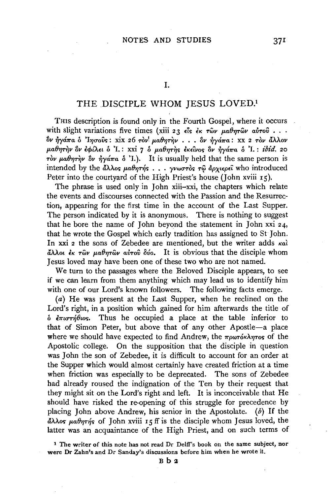## I.

## THE DISCIPLE WHOM JESUS LOVED.1

Tms description is found only in the Fourth Gospel, where it occurs with slight variations five times (xiii 23  $\epsilon$ is  $\dot{\epsilon}$   $\kappa$   $\tau$ ων  $\mu$ αθητων αυτού ...  $\partial y \frac{d}{dx}a$  δ '<sup>1</sup>ησούς: xix 26 τον<sup>'</sup> μαθητήν . . . δν ήγάπα: xx 2 τον άλλον  $\mu$ αθητὴν ὃν ἐφίλει ὁ 'I.: xxi 7 ὁ μαθητὴς ἐκείνος ὃν ἠγάπα ὁ 'I.: *ibid.* 20  $\tau$ ov  $\mu$ a $\theta$  $\eta$  $\tau$  $\gamma$ v  $\theta$ v  $\eta$  $\gamma$  $\alpha$  $\pi$ a  $\delta$  'I.). It is usually held that the same person is intended by the άλλος μαθητής . . . γνωστός τῷ ἀρχιερεῖ who introduced Peter into the courtyard of the High Priest's house (John xviii 15).

The phrase is used only in John xiii-xxi, the chapters which relate the events and discourses connected with the Passion and the Resurrection, appearing for the first time in the account of the Last Supper. The person indicated by it is anonymous. There is nothing to suggest that he bore the name of John beyond the statement in John xxi  $24$ , that he wrote the Gospel which early tradition has assigned to St John. In xxi 2 the sons of Zebedee are mentioned, but the writer adds  $\kappa a\lambda$  $\frac{\partial}{\partial t} \lambda \lambda$ ot  $\frac{\partial}{\partial r} \frac{\partial y}{\partial r}$   $\mu \alpha \theta \eta \tau \hat{\omega} \nu$  airov  $\delta v$ <sub>0</sub>. It is obvious that the disciple whom Jesus loved may have been one of these two who are not named.

We tum to the passages where the Beloved Disciple appears, to see if we can learn from them anything which may lead us to identify him with one of our Lord's known followers. The following facts emerge.

 $(a)$  He was present at the Last Supper, when he reclined on the Lord's right, in a position which gained for him afterwards the title of  $\delta$   $\epsilon \pi u \sigma \tau \eta \theta u$ os. Thus he occupied a place at the table inferior to that of Simon Peter, but above that of any other Apostle-a place where we should have expected to find Andrew, the πρωτόκλητος of the Apostolic college. On the supposition that the disciple in question was John the son of Zebedee, it is difficult to account for an order at the Supper which would almost certainly have created friction at a time when friction was especially to be deprecated. The sons of Zebedee had already roused the indignation of the Ten by their request that they might sit on the Lord's right and left. It is inconceivable that He should have risked the re-opening of this struggle for precedence by placing John above Andrew, his senior in the Apostolate. ( $\delta$ ) If the  $\frac{d}{dx}\lambda\lambda$ os  $\mu\alpha\theta\eta\tau\eta$ s of John xviii 15 ff is the disciple whom Jesus loved, the latter was an acquaintance of the High Priest, and on such terms of

<sup>1</sup> The writer of this note has not read Dr Delff's book on the same subject, nor were Dr Zahn's and Dr Sanday's discussions before him when he wrote it.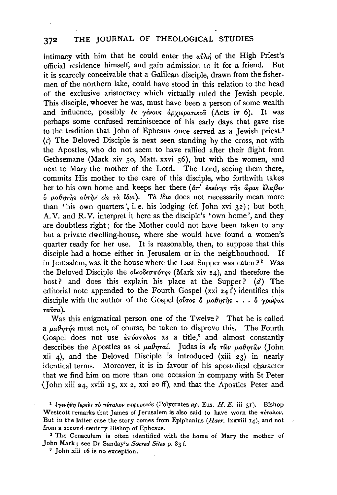## 372 THE JOURNAL OF THEOLOGICAL STUDIES

intimacy with him that he could enter the  $a\dot{v}\lambda\dot{\eta}$  of the High Priest's official residence himself, and gain admission to it for a friend. But it is scarcely conceivable that a Galilean disciple, drawn from the fishermen of the northern lake, could have stood in this relation to the head of the exclusive aristocracy which virtually ruled the Jewish people. This disciple, whoever he was, must have been a person of some wealth and influence, possibly εκ γένους άρχιερατικού (Acts iv 6). It was perhaps some confused reminiscence of his early days that gave rise to the tradition that John of Ephesus once served as a Jewish priest.<sup>1</sup>  $(c)$  The Beloved Disciple is next seen standing by the cross, not with the Apostles, who do not seem to have rallied after their flight from Gethsemane (Mark xiv 50, Matt. xxvi 56), but with the women, and next to Mary the mother of the Lord. The Lord, seeing them there, commits His mother to the care of this disciple, who forthwith takes her to his own home and keeps her there (απ' εκείνης της ώρας έλαβεν o *µ,a8riri/<> avri,v·* £ls *ra Wia). Ta Wia* does not necessarily mean more than 'his own quarters', i. e. his lodging (cf. John xvi 32); but both. A. V. and R. V. interpret it here as the disciple's 'own home', and they are doubtless right; for the Mother could not have been taken to any but a private dwelling-house, where she would have found a women's quarter ready for her use. It is reasonable, then, to suppose that this disciple had a home either in Jerusalem or in the neighbourhood. If in Jerusalem, was it the house where the Last Supper was eaten?<sup>2</sup> Was the Beloved Disciple the  $\omega_{\kappa}$  ole  $\sigma_{\kappa}$  (Mark xiv 14), and therefore the host? and does this explain his place at the Supper?  $(d)$  The editorial note appended to the Fourth Gospel (xxi  $24 f$ ) identifies this disciple with the author of the Gospel ( $\delta$ *tros*  $\delta$  *µa* $\theta$ *nrns*  $\ldots$ ,  $\delta$  *ypayas rawa).* 

Was this enigmatical person one of the Twelve? That he is called a  $\mu a \theta \eta \tau \eta$ 's must not, of course, be taken to disprove this. The Fourth Gospel does not use  $\frac{\partial \pi}{\partial \sigma}$  as a title,<sup>s</sup> and almost constantly describes the Apostles as *oi μαθηταί*. Judas is εἶς τῶν μαθητῶν (John xii 4), and the Beloved Disciple is introduced (xiii  $23$ ) in nearly identical terms. Moreover, it is in favour of his apostolical character that we find him on more than one occasion in company with St Peter {John xiii 24, xviii 15, xx 2, xxi 20 ff), and that the Apostles Peter and

John Mark ; see Dr Sanday's *Sacred Sites* p. 83 f. 3 John xiii r6 is no exception.

<sup>&</sup>lt;sup>1</sup> έγενήθη lερεύs τὸ πέταλον πεφορεκώs (Polycrates ap. Eus. *H. E.* iii 31). Bishop Westcott remarks that James of Jerusalem is also said to have worn the  $\pi \epsilon \tau a \lambda o \nu$ . But in the latter case the story comes from Epiphanius *(Haer.* lxxviii 14.), and not from a second-century Bishop of Ephesus. 2 The Cenaculum is often identified with the home of Mary the mother of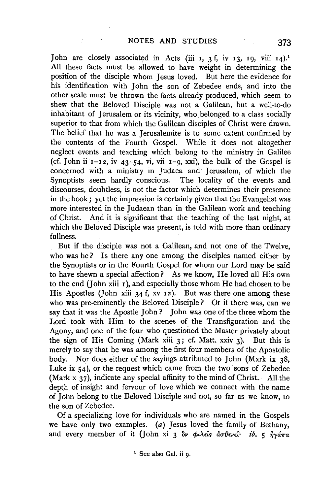John are closely associated in Acts (iii 1, 3 f, iv 13, 19, viii 14).<sup>1</sup> All these facts must be allowed to have weight in determining the position of the disciple whom Jesus loved. But here the evidence for his identification with John the son of Zebedee ends, and into the other scale must be thrown the facts already produced, which seem to shew that the Beloved Disciple was not a Galilean, but a well-to-do inhabitant of Jerusalem or its vicinity, who belonged to a class socially superior to that from which the Galilean disciples of Christ were drawn. The belief that he was a Jerusalemite is to some extent confirmed by the contents of the Fourth Gospel. While it does not altogether neglect events and teaching which belong to the ministry in Galilee (cf. John ii  $I-I2$ , iv  $43-54$ , vi, vii  $I-9$ , xxi), the bulk of the Gospel is concerned with a ministry in Judaea and Jerusalem, of which the Synoptists seem hardly conscious. The locality of the events and discourses, doubtless, is not the factor which determines their presence in the book ; yet the impression is certainly given that the Evangelist was more interested in the Judaean than in the Galilean work and teaching of Christ. And it is significant that the teaching of the last night, at which the Beloved Disciple was present, is told with more than ordinary fullness.

But if the disciple was not a Galilean, and not one of the Twelve, who was he? Is there any one among the disciples named either by the Synoptists or in the Fourth Gospel for whom our Lord may be said to have shewn a special affection? As we know, He loved all His own to the end (John xiii  $r$ ), and especially those whom He had chosen to be His Apostles (John xiii 34 f, xv 12). But was there one among these who was pre-eminently the Beloved Disciple ? Or if there was, can we say that it was the Apostle John? John was one of the three whom the Lord took with Him to the scenes of the Transfiguration and the Agony, and one of the four who questioned the Master privately about the sign of His Coming (Mark xiii 3; cf. Matt. xxiv 3). But this is merely to say that he was among the first four members of the Apostolic body. Nor does either of the sayings attributed to John (Mark ix 38, Luke ix 54), or the request which came from the two sons of Zebedee (Mark x 37), indicate any special affinity to the mind of Christ. All the depth of insight and fervour of love which we connect with the name of John belong to the Beloved Disciple and not, so far as we know, to the son of Zebedee.

Of a specializing love for individuals who are named in the Gospels we have only two examples. (a) Jesus loved the family of Bethany, and every member of it (John xi 3  $\partial v$   $\phi \iota \lambda \epsilon \hat{\iota} s$   $d\sigma \theta \epsilon \nu \epsilon \hat{\iota} \cdot i\partial \epsilon$ , 5  $\partial \nu \alpha \pi \alpha$